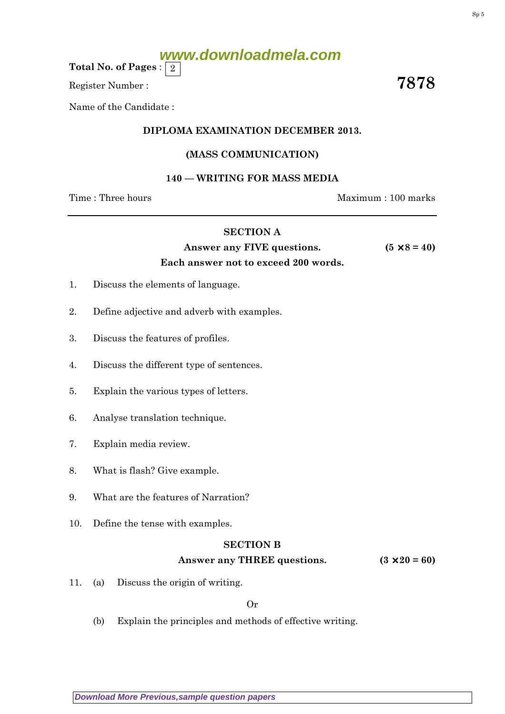# **www.downloadmela.com**

Total No. of Pages :  $\mid 2 \rangle$ 

Register Number :  $\overline{\hspace{1em}}$  7878

Name of the Candidate :

## DIPLOMA EXAMINATION DECEMBER 2013.

## (MASS COMMUNICATION)

## 140 — WRITING FOR MASS MEDIA

Time : Three hours and the matter of the Maximum : 100 marks

## SECTION A

Answer any FIVE questions.  $(5 \times 8 = 40)$ Each answer not to exceed 200 words.

## 1. Discuss the elements of language.

- 2. Define adjective and adverb with examples.
- 3. Discuss the features of profiles.
- 4. Discuss the different type of sentences.
- 5. Explain the various types of letters.
- 6. Analyse translation technique.
- 7. Explain media review.
- 8. What is flash? Give example.
- 9. What are the features of Narration?
- 10. Define the tense with examples.

#### SECTION B

## Answer any THREE questions.  $(3 \times 20 = 60)$

11. (a) Discuss the origin of writing.

Or

(b) Explain the principles and methods of effective writing.